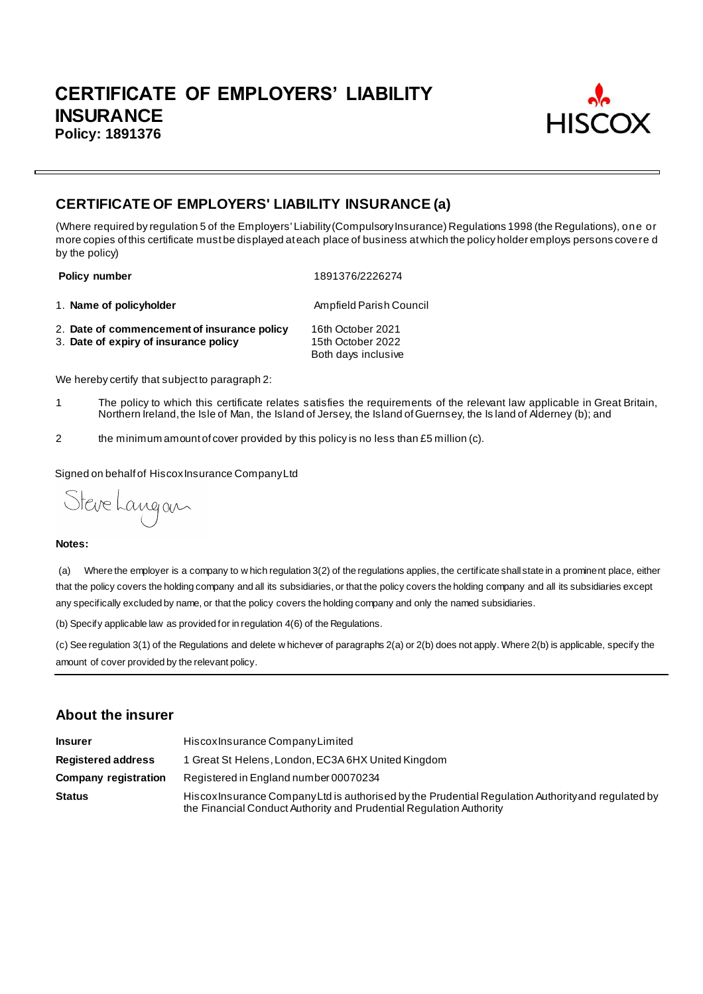

# **CERTIFICATE OF EMPLOYERS' LIABILITY INSURANCE (a)**

(Where required by regulation 5 of the Employers' Liability (Compulsory Insurance) Regulations 1998 (the Regulations), one or more copies of this certificate must be displayed at each place of business at which the policy holder employs persons covere d by the policy)

**Policy number** 1891376/2226274

1. **Name of policyholder Ampfield Parish Council Ampfield Parish Council** 

2. **Date of commencement of insurance policy** 16th October 2021 3. Date of expiry of insurance policy Both days inclusive

We hereby certify that subject to paragraph 2:

- 1 The policy to which this certificate relates satisfies the requirements of the relevant law applicable in Great Britain, Northern Ireland, the Isle of Man, the Island of Jersey, the Island of Guernsey, the Is land of Alderney (b); and
- 2 the minimum amount of cover provided by this policy is no less than £5 million (c).

Signed on behalf of Hiscox Insurance Company Ltd

Steve Langan

#### **Notes:**

(a) Where the employer is a company to w hich regulation 3(2) of the regulations applies, the certificate shall state in a prominent place, either that the policy covers the holding company and all its subsidiaries, or that the policy covers the holding company and all its subsidiaries except any specifically excluded by name, or that the policy covers the holding company and only the named subsidiaries.

(b) Specify applicable law as provided for in regulation 4(6) of the Regulations.

(c) See regulation 3(1) of the Regulations and delete w hichever of paragraphs 2(a) or 2(b) does not apply. Where 2(b) is applicable, specify the amount of cover provided by the relevant policy.

## **About the insurer**

| <b>Insurer</b>              | Hiscox Insurance Company Limited                                                                                                                                          |
|-----------------------------|---------------------------------------------------------------------------------------------------------------------------------------------------------------------------|
| <b>Registered address</b>   | 1 Great St Helens, London, EC3A 6HX United Kingdom                                                                                                                        |
| <b>Company registration</b> | Registered in England number 00070234                                                                                                                                     |
| <b>Status</b>               | Hiscox Insurance Company Ltd is authorised by the Prudential Regulation Authority and regulated by<br>the Financial Conduct Authority and Prudential Regulation Authority |